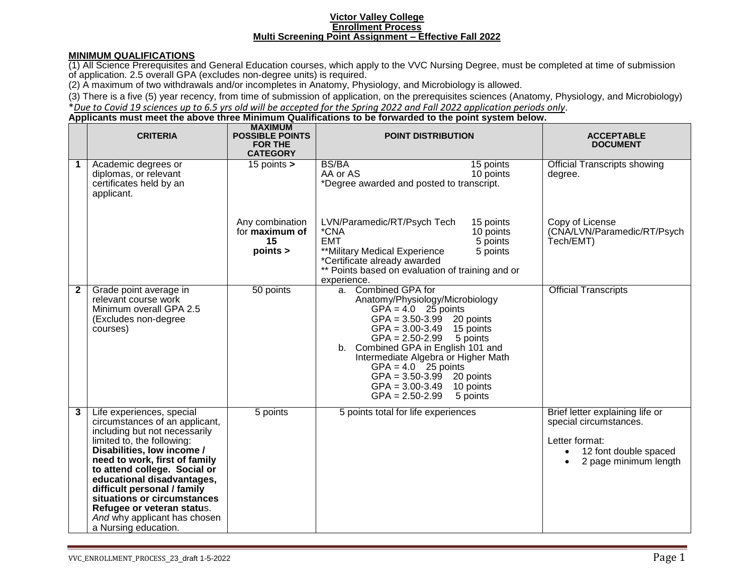## **Victor Valley College Enrollment Process Multi Screening Point Assignment – Effective Fall 2022**

## **MINIMUM QUALIFICATIONS**

(1) All Science Prerequisites and General Education courses, which apply to the VVC Nursing Degree, must be completed at time of submission of application. 2.5 overall GPA (excludes non-degree units) is required.

(2) A maximum of two withdrawals and/or incompletes in Anatomy, Physiology, and Microbiology is allowed.

(3) There is a five (5) year recency, from time of submission of application, on the prerequisites sciences (Anatomy, Physiology, and Microbiology) \**Due to Covid 19 sciences up to 6.5 yrs old will be accepted for the Spring 2022 and Fall 2022 application periods only*.

## **Applicants must meet the above three Minimum Qualifications to be forwarded to the point system below.**

|              | <b>CRITERIA</b>                                                                                                                                                                                                                                                                                                                                                                                             | <b>MAXIMUM</b><br><b>POSSIBLE POINTS</b><br><b>FOR THE</b><br><b>CATEGORY</b> | <b>POINT DISTRIBUTION</b>                                                                                                                                                                                                                                                                                                                                                                                            | <b>ACCEPTABLE</b><br><b>DOCUMENT</b>                                                                                          |
|--------------|-------------------------------------------------------------------------------------------------------------------------------------------------------------------------------------------------------------------------------------------------------------------------------------------------------------------------------------------------------------------------------------------------------------|-------------------------------------------------------------------------------|----------------------------------------------------------------------------------------------------------------------------------------------------------------------------------------------------------------------------------------------------------------------------------------------------------------------------------------------------------------------------------------------------------------------|-------------------------------------------------------------------------------------------------------------------------------|
| 1            | Academic degrees or<br>diplomas, or relevant<br>certificates held by an<br>applicant.                                                                                                                                                                                                                                                                                                                       | $15$ points $>$                                                               | <b>BS/BA</b><br>15 points<br>AA or AS<br>10 points<br>*Degree awarded and posted to transcript.                                                                                                                                                                                                                                                                                                                      | <b>Official Transcripts showing</b><br>degree.                                                                                |
|              |                                                                                                                                                                                                                                                                                                                                                                                                             | Any combination<br>for maximum of<br>15<br>points >                           | LVN/Paramedic/RT/Psych Tech<br>15 points<br>*CNA<br>10 points<br><b>EMT</b><br>5 points<br>**Military Medical Experience<br>5 points<br>*Certificate already awarded<br>** Points based on evaluation of training and or<br>experience.                                                                                                                                                                              | Copy of License<br>(CNA/LVN/Paramedic/RT/Psych<br>Tech/EMT)                                                                   |
| $\mathbf{2}$ | Grade point average in<br>relevant course work<br>Minimum overall GPA 2.5<br>(Excludes non-degree<br>courses)                                                                                                                                                                                                                                                                                               | 50 points                                                                     | <b>Combined GPA for</b><br>a.<br>Anatomy/Physiology/Microbiology<br>$GPA = 4.0$ 25 points<br>$GPA = 3.50 - 3.99$ 20 points<br>$GPA = 3.00 - 3.49$ 15 points<br>$GPA = 2.50 - 2.99$<br>5 points<br>b. Combined GPA in English 101 and<br>Intermediate Algebra or Higher Math<br>$GPA = 4.0$ <sup>25</sup> points<br>$GPA = 3.50 - 3.99$ 20 points<br>$GPA = 3.00 - 3.49$ 10 points<br>$GPA = 2.50 - 2.99$<br>5 points | <b>Official Transcripts</b>                                                                                                   |
| 3            | Life experiences, special<br>circumstances of an applicant,<br>including but not necessarily<br>limited to, the following:<br>Disabilities, low income /<br>need to work, first of family<br>to attend college. Social or<br>educational disadvantages,<br>difficult personal / family<br>situations or circumstances<br>Refugee or veteran status.<br>And why applicant has chosen<br>a Nursing education. | 5 points                                                                      | 5 points total for life experiences                                                                                                                                                                                                                                                                                                                                                                                  | Brief letter explaining life or<br>special circumstances.<br>Letter format:<br>12 font double spaced<br>2 page minimum length |